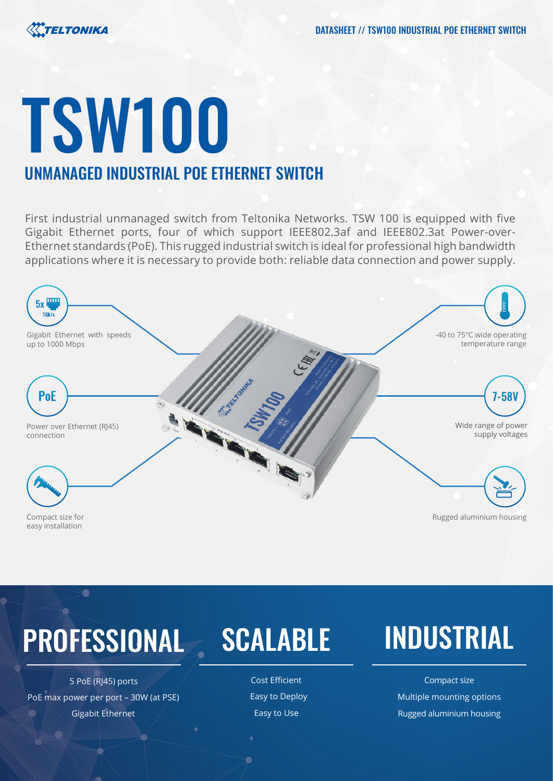# TSW100

# UNMANAGED INDUSTRIAL POE ETHERNET SWITCH

First industrial unmanaged switch from Teltonika Networks. TSW 100 is equipped with five Gigabit Ethernet ports, four of which support IEEE802.3af and IEEE802.3at Power-over-Ethernet standards (PoE). This rugged industrial switch is ideal for professional high bandwidth applications where it is necessary to provide both: reliable data connection and power supply.



# PROFESSIONAL SCALABLE INDUSTRIAL

 $\bullet$ 

5 PoE (RJ45) ports and the cost Efficient Cost Efficient Compact size PoE max power per port – 30W (at PSE) Easy to Deploy Formulation of Multiple mounting options Gigabit Ethernet **Easy to Use Accommon State Accommon Contract Contract Contract Contract Contract Contract Contract Contract Contract Contract Contract Contract Contract Contract Contract Contract Contract Contract Contra**